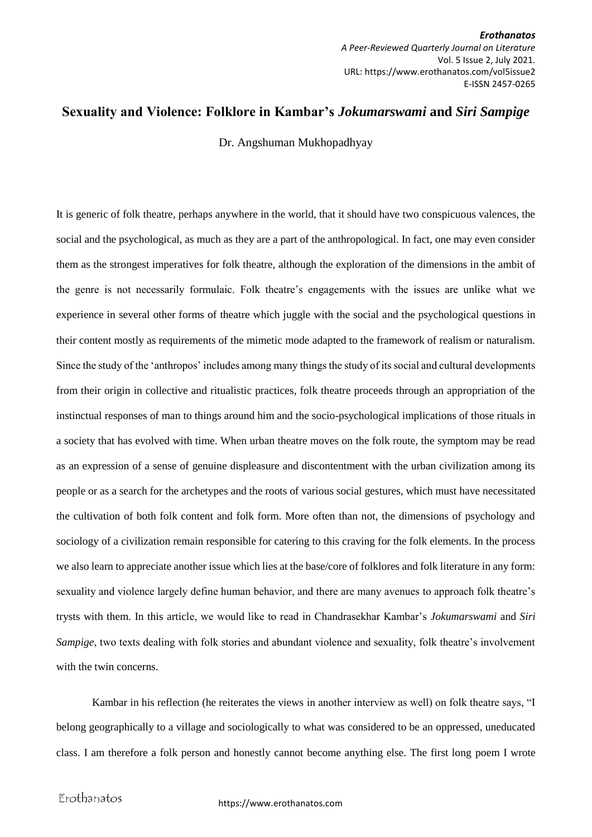*Erothanatos A Peer-Reviewed Quarterly Journal on Literature* Vol. 5 Issue 2, July 2021. URL: https://www.erothanatos.com/vol5issue2 E-ISSN 2457-0265

## **Sexuality and Violence: Folklore in Kambar's** *Jokumarswami* **and** *Siri Sampige*

Dr. Angshuman Mukhopadhyay

It is generic of folk theatre, perhaps anywhere in the world, that it should have two conspicuous valences, the social and the psychological, as much as they are a part of the anthropological. In fact, one may even consider them as the strongest imperatives for folk theatre, although the exploration of the dimensions in the ambit of the genre is not necessarily formulaic. Folk theatre's engagements with the issues are unlike what we experience in several other forms of theatre which juggle with the social and the psychological questions in their content mostly as requirements of the mimetic mode adapted to the framework of realism or naturalism. Since the study of the 'anthropos' includes among many things the study of its social and cultural developments from their origin in collective and ritualistic practices, folk theatre proceeds through an appropriation of the instinctual responses of man to things around him and the socio-psychological implications of those rituals in a society that has evolved with time. When urban theatre moves on the folk route, the symptom may be read as an expression of a sense of genuine displeasure and discontentment with the urban civilization among its people or as a search for the archetypes and the roots of various social gestures, which must have necessitated the cultivation of both folk content and folk form. More often than not, the dimensions of psychology and sociology of a civilization remain responsible for catering to this craving for the folk elements. In the process we also learn to appreciate another issue which lies at the base/core of folklores and folk literature in any form: sexuality and violence largely define human behavior, and there are many avenues to approach folk theatre's trysts with them. In this article, we would like to read in Chandrasekhar Kambar's *Jokumarswami* and *Siri Sampige*, two texts dealing with folk stories and abundant violence and sexuality, folk theatre's involvement with the twin concerns.

Kambar in his reflection (he reiterates the views in another interview as well) on folk theatre says, "I belong geographically to a village and sociologically to what was considered to be an oppressed, uneducated class. I am therefore a folk person and honestly cannot become anything else. The first long poem I wrote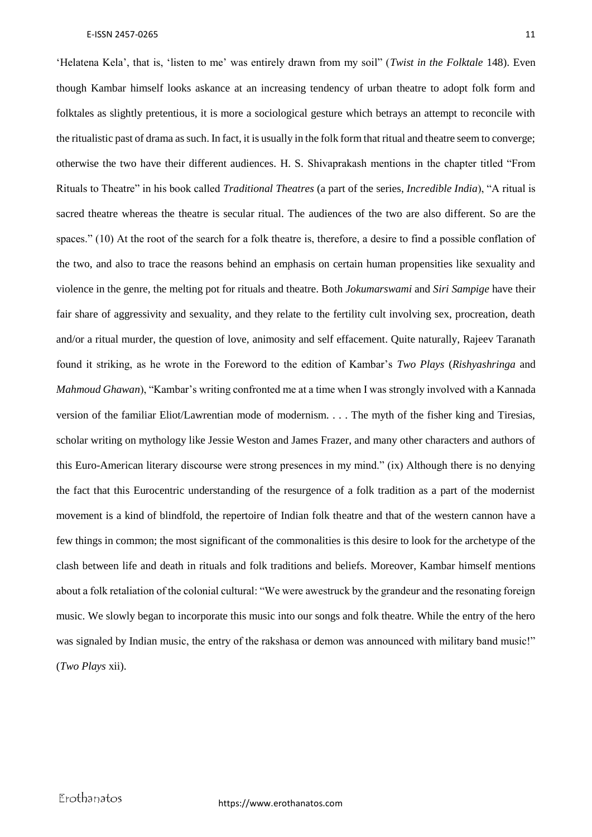'Helatena Kela', that is, 'listen to me' was entirely drawn from my soil" (*Twist in the Folktale* 148). Even though Kambar himself looks askance at an increasing tendency of urban theatre to adopt folk form and folktales as slightly pretentious, it is more a sociological gesture which betrays an attempt to reconcile with the ritualistic past of drama as such. In fact, it is usually in the folk form that ritual and theatre seem to converge; otherwise the two have their different audiences. H. S. Shivaprakash mentions in the chapter titled "From Rituals to Theatre" in his book called *Traditional Theatres* (a part of the series, *Incredible India*), "A ritual is sacred theatre whereas the theatre is secular ritual. The audiences of the two are also different. So are the spaces." (10) At the root of the search for a folk theatre is, therefore, a desire to find a possible conflation of the two, and also to trace the reasons behind an emphasis on certain human propensities like sexuality and violence in the genre, the melting pot for rituals and theatre. Both *Jokumarswami* and *Siri Sampige* have their fair share of aggressivity and sexuality, and they relate to the fertility cult involving sex, procreation, death and/or a ritual murder, the question of love, animosity and self effacement. Quite naturally, Rajeev Taranath found it striking, as he wrote in the Foreword to the edition of Kambar's *Two Plays* (*Rishyashringa* and *Mahmoud Ghawan*), "Kambar's writing confronted me at a time when I was strongly involved with a Kannada version of the familiar Eliot/Lawrentian mode of modernism. . . . The myth of the fisher king and Tiresias, scholar writing on mythology like Jessie Weston and James Frazer, and many other characters and authors of this Euro-American literary discourse were strong presences in my mind." (ix) Although there is no denying the fact that this Eurocentric understanding of the resurgence of a folk tradition as a part of the modernist movement is a kind of blindfold, the repertoire of Indian folk theatre and that of the western cannon have a few things in common; the most significant of the commonalities is this desire to look for the archetype of the clash between life and death in rituals and folk traditions and beliefs. Moreover, Kambar himself mentions about a folk retaliation of the colonial cultural: "We were awestruck by the grandeur and the resonating foreign music. We slowly began to incorporate this music into our songs and folk theatre. While the entry of the hero was signaled by Indian music, the entry of the rakshasa or demon was announced with military band music!" (*Two Plays* xii).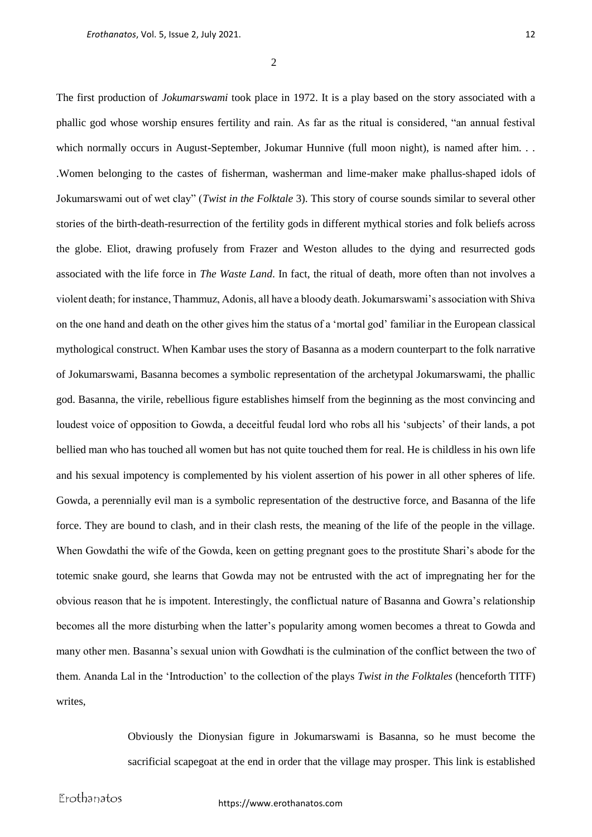$\mathcal{L}$ 

The first production of *Jokumarswami* took place in 1972. It is a play based on the story associated with a phallic god whose worship ensures fertility and rain. As far as the ritual is considered, "an annual festival which normally occurs in August-September, Jokumar Hunnive (full moon night), is named after him. . . .Women belonging to the castes of fisherman, washerman and lime-maker make phallus-shaped idols of Jokumarswami out of wet clay" (*Twist in the Folktale* 3). This story of course sounds similar to several other stories of the birth-death-resurrection of the fertility gods in different mythical stories and folk beliefs across the globe. Eliot, drawing profusely from Frazer and Weston alludes to the dying and resurrected gods associated with the life force in *The Waste Land*. In fact, the ritual of death, more often than not involves a violent death; for instance, Thammuz, Adonis, all have a bloody death. Jokumarswami's association with Shiva on the one hand and death on the other gives him the status of a 'mortal god' familiar in the European classical mythological construct. When Kambar uses the story of Basanna as a modern counterpart to the folk narrative of Jokumarswami, Basanna becomes a symbolic representation of the archetypal Jokumarswami, the phallic god. Basanna, the virile, rebellious figure establishes himself from the beginning as the most convincing and loudest voice of opposition to Gowda, a deceitful feudal lord who robs all his 'subjects' of their lands, a pot bellied man who has touched all women but has not quite touched them for real. He is childless in his own life and his sexual impotency is complemented by his violent assertion of his power in all other spheres of life. Gowda, a perennially evil man is a symbolic representation of the destructive force, and Basanna of the life force. They are bound to clash, and in their clash rests, the meaning of the life of the people in the village. When Gowdathi the wife of the Gowda, keen on getting pregnant goes to the prostitute Shari's abode for the totemic snake gourd, she learns that Gowda may not be entrusted with the act of impregnating her for the obvious reason that he is impotent. Interestingly, the conflictual nature of Basanna and Gowra's relationship becomes all the more disturbing when the latter's popularity among women becomes a threat to Gowda and many other men. Basanna's sexual union with Gowdhati is the culmination of the conflict between the two of them. Ananda Lal in the 'Introduction' to the collection of the plays *Twist in the Folktales* (henceforth TITF) writes,

> Obviously the Dionysian figure in Jokumarswami is Basanna, so he must become the sacrificial scapegoat at the end in order that the village may prosper. This link is established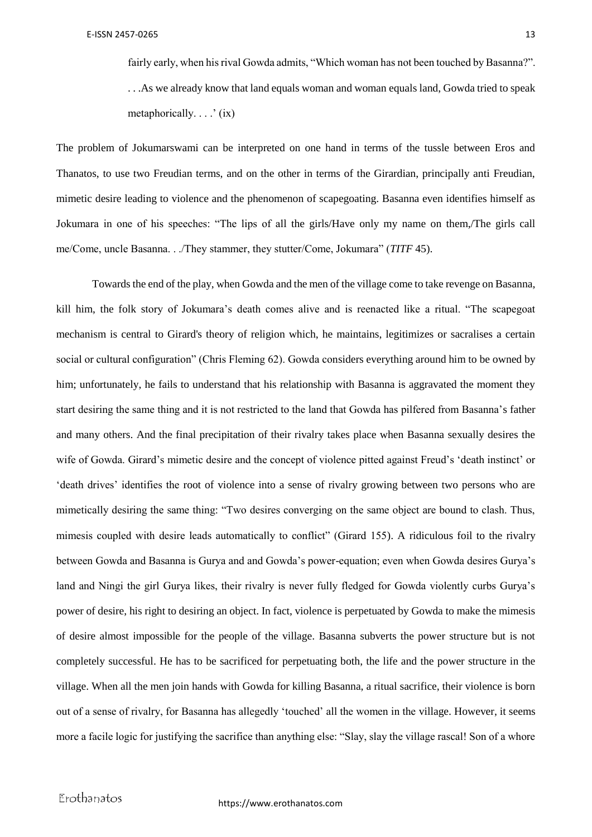fairly early, when his rival Gowda admits, "Which woman has not been touched by Basanna?". . . .As we already know that land equals woman and woman equals land, Gowda tried to speak metaphorically. . . .' (ix)

The problem of Jokumarswami can be interpreted on one hand in terms of the tussle between Eros and Thanatos, to use two Freudian terms, and on the other in terms of the Girardian, principally anti Freudian, mimetic desire leading to violence and the phenomenon of scapegoating. Basanna even identifies himself as Jokumara in one of his speeches: "The lips of all the girls/Have only my name on them,/The girls call me/Come, uncle Basanna. . ./They stammer, they stutter/Come, Jokumara" (*TITF* 45).

Towards the end of the play, when Gowda and the men of the village come to take revenge on Basanna, kill him, the folk story of Jokumara's death comes alive and is reenacted like a ritual. "The scapegoat mechanism is central to Girard's theory of religion which, he maintains, legitimizes or sacralises a certain social or cultural configuration" (Chris Fleming 62). Gowda considers everything around him to be owned by him; unfortunately, he fails to understand that his relationship with Basanna is aggravated the moment they start desiring the same thing and it is not restricted to the land that Gowda has pilfered from Basanna's father and many others. And the final precipitation of their rivalry takes place when Basanna sexually desires the wife of Gowda. Girard's mimetic desire and the concept of violence pitted against Freud's 'death instinct' or 'death drives' identifies the root of violence into a sense of rivalry growing between two persons who are mimetically desiring the same thing: "Two desires converging on the same object are bound to clash. Thus, mimesis coupled with desire leads automatically to conflict" (Girard 155). A ridiculous foil to the rivalry between Gowda and Basanna is Gurya and and Gowda's power-equation; even when Gowda desires Gurya's land and Ningi the girl Gurya likes, their rivalry is never fully fledged for Gowda violently curbs Gurya's power of desire, his right to desiring an object. In fact, violence is perpetuated by Gowda to make the mimesis of desire almost impossible for the people of the village. Basanna subverts the power structure but is not completely successful. He has to be sacrificed for perpetuating both, the life and the power structure in the village. When all the men join hands with Gowda for killing Basanna, a ritual sacrifice, their violence is born out of a sense of rivalry, for Basanna has allegedly 'touched' all the women in the village. However, it seems more a facile logic for justifying the sacrifice than anything else: "Slay, slay the village rascal! Son of a whore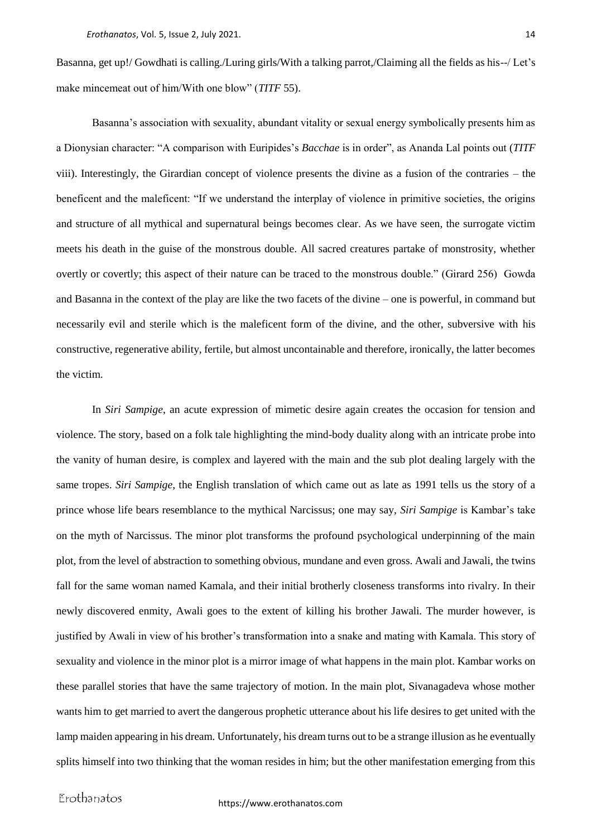Basanna, get up!/ Gowdhati is calling./Luring girls/With a talking parrot,/Claiming all the fields as his--/ Let's make mincemeat out of him/With one blow" (*TITF* 55).

Basanna's association with sexuality, abundant vitality or sexual energy symbolically presents him as a Dionysian character: "A comparison with Euripides's *Bacchae* is in order", as Ananda Lal points out (*TITF* viii). Interestingly, the Girardian concept of violence presents the divine as a fusion of the contraries – the beneficent and the maleficent: "If we understand the interplay of violence in primitive societies, the origins and structure of all mythical and supernatural beings becomes clear. As we have seen, the surrogate victim meets his death in the guise of the monstrous double. All sacred creatures partake of monstrosity, whether overtly or covertly; this aspect of their nature can be traced to the monstrous double." (Girard 256) Gowda and Basanna in the context of the play are like the two facets of the divine – one is powerful, in command but necessarily evil and sterile which is the maleficent form of the divine, and the other, subversive with his constructive, regenerative ability, fertile, but almost uncontainable and therefore, ironically, the latter becomes the victim.

In *Siri Sampige*, an acute expression of mimetic desire again creates the occasion for tension and violence. The story, based on a folk tale highlighting the mind-body duality along with an intricate probe into the vanity of human desire, is complex and layered with the main and the sub plot dealing largely with the same tropes. *Siri Sampige*, the English translation of which came out as late as 1991 tells us the story of a prince whose life bears resemblance to the mythical Narcissus; one may say, *Siri Sampige* is Kambar's take on the myth of Narcissus. The minor plot transforms the profound psychological underpinning of the main plot, from the level of abstraction to something obvious, mundane and even gross. Awali and Jawali, the twins fall for the same woman named Kamala, and their initial brotherly closeness transforms into rivalry. In their newly discovered enmity, Awali goes to the extent of killing his brother Jawali. The murder however, is justified by Awali in view of his brother's transformation into a snake and mating with Kamala. This story of sexuality and violence in the minor plot is a mirror image of what happens in the main plot. Kambar works on these parallel stories that have the same trajectory of motion. In the main plot, Sivanagadeva whose mother wants him to get married to avert the dangerous prophetic utterance about his life desires to get united with the lamp maiden appearing in his dream. Unfortunately, his dream turns out to be a strange illusion as he eventually splits himself into two thinking that the woman resides in him; but the other manifestation emerging from this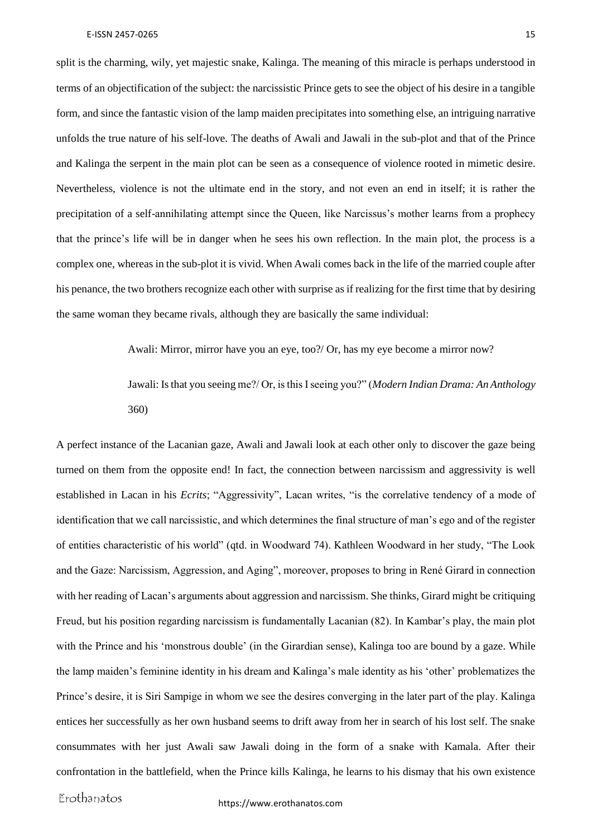split is the charming, wily, yet majestic snake, Kalinga. The meaning of this miracle is perhaps understood in terms of an objectification of the subject: the narcissistic Prince gets to see the object of his desire in a tangible form, and since the fantastic vision of the lamp maiden precipitates into something else, an intriguing narrative unfolds the true nature of his self-love. The deaths of Awali and Jawali in the sub-plot and that of the Prince and Kalinga the serpent in the main plot can be seen as a consequence of violence rooted in mimetic desire. Nevertheless, violence is not the ultimate end in the story, and not even an end in itself; it is rather the precipitation of a self-annihilating attempt since the Queen, like Narcissus's mother learns from a prophecy that the prince's life will be in danger when he sees his own reflection. In the main plot, the process is a complex one, whereas in the sub-plot it is vivid. When Awali comes back in the life of the married couple after his penance, the two brothers recognize each other with surprise as if realizing for the first time that by desiring the same woman they became rivals, although they are basically the same individual:

Awali: Mirror, mirror have you an eye, too?/ Or, has my eye become a mirror now?

Jawali: Is that you seeing me?/ Or, is this I seeing you?" (*Modern Indian Drama: An Anthology* 360)

A perfect instance of the Lacanian gaze, Awali and Jawali look at each other only to discover the gaze being turned on them from the opposite end! In fact, the connection between narcissism and aggressivity is well established in Lacan in his *Ecrits*; "Aggressivity", Lacan writes, "is the correlative tendency of a mode of identification that we call narcissistic, and which determines the final structure of man's ego and of the register of entities characteristic of his world" (qtd. in Woodward 74). Kathleen Woodward in her study, "The Look and the Gaze: Narcissism, Aggression, and Aging", moreover, proposes to bring in René Girard in connection with her reading of Lacan's arguments about aggression and narcissism. She thinks, Girard might be critiquing Freud, but his position regarding narcissism is fundamentally Lacanian (82). In Kambar's play, the main plot with the Prince and his 'monstrous double' (in the Girardian sense), Kalinga too are bound by a gaze. While the lamp maiden's feminine identity in his dream and Kalinga's male identity as his 'other' problematizes the Prince's desire, it is Siri Sampige in whom we see the desires converging in the later part of the play. Kalinga entices her successfully as her own husband seems to drift away from her in search of his lost self. The snake consummates with her just Awali saw Jawali doing in the form of a snake with Kamala. After their confrontation in the battlefield, when the Prince kills Kalinga, he learns to his dismay that his own existence

Erothanatos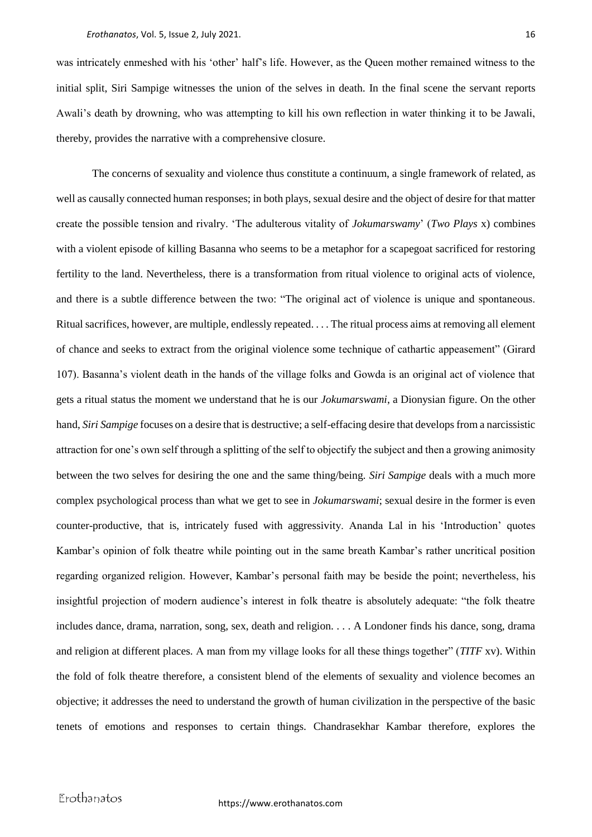was intricately enmeshed with his 'other' half's life. However, as the Queen mother remained witness to the initial split, Siri Sampige witnesses the union of the selves in death. In the final scene the servant reports Awali's death by drowning, who was attempting to kill his own reflection in water thinking it to be Jawali, thereby, provides the narrative with a comprehensive closure.

The concerns of sexuality and violence thus constitute a continuum, a single framework of related, as well as causally connected human responses; in both plays, sexual desire and the object of desire for that matter create the possible tension and rivalry. 'The adulterous vitality of *Jokumarswamy*' (*Two Plays* x) combines with a violent episode of killing Basanna who seems to be a metaphor for a scapegoat sacrificed for restoring fertility to the land. Nevertheless, there is a transformation from ritual violence to original acts of violence, and there is a subtle difference between the two: "The original act of violence is unique and spontaneous. Ritual sacrifices, however, are multiple, endlessly repeated. . . . The ritual process aims at removing all element of chance and seeks to extract from the original violence some technique of cathartic appeasement" (Girard 107). Basanna's violent death in the hands of the village folks and Gowda is an original act of violence that gets a ritual status the moment we understand that he is our *Jokumarswami*, a Dionysian figure. On the other hand, *Siri Sampige* focuses on a desire that is destructive; a self-effacing desire that develops from a narcissistic attraction for one's own self through a splitting of the self to objectify the subject and then a growing animosity between the two selves for desiring the one and the same thing/being. *Siri Sampige* deals with a much more complex psychological process than what we get to see in *Jokumarswami*; sexual desire in the former is even counter-productive, that is, intricately fused with aggressivity. Ananda Lal in his 'Introduction' quotes Kambar's opinion of folk theatre while pointing out in the same breath Kambar's rather uncritical position regarding organized religion. However, Kambar's personal faith may be beside the point; nevertheless, his insightful projection of modern audience's interest in folk theatre is absolutely adequate: "the folk theatre includes dance, drama, narration, song, sex, death and religion. . . . A Londoner finds his dance, song, drama and religion at different places. A man from my village looks for all these things together" (*TITF* xv). Within the fold of folk theatre therefore, a consistent blend of the elements of sexuality and violence becomes an objective; it addresses the need to understand the growth of human civilization in the perspective of the basic tenets of emotions and responses to certain things. Chandrasekhar Kambar therefore, explores the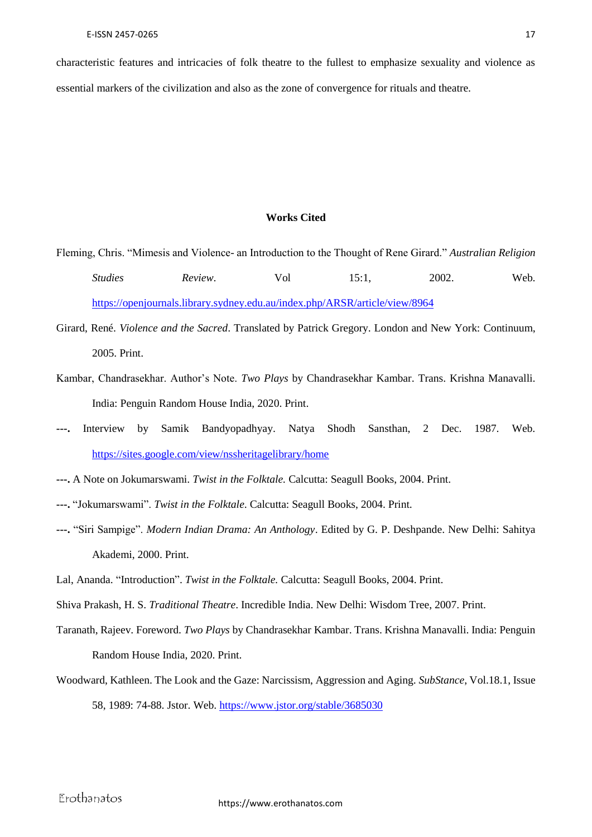characteristic features and intricacies of folk theatre to the fullest to emphasize sexuality and violence as essential markers of the civilization and also as the zone of convergence for rituals and theatre.

## **Works Cited**

- Fleming, Chris. "Mimesis and Violence- an Introduction to the Thought of Rene Girard." *Australian Religion Studies Review*. Vol 15:1, 2002. Web. <https://openjournals.library.sydney.edu.au/index.php/ARSR/article/view/8964>
- Girard, René. *Violence and the Sacred*. Translated by Patrick Gregory. London and New York: Continuum, 2005. Print.
- Kambar, Chandrasekhar. Author's Note. *Two Plays* by Chandrasekhar Kambar. Trans. Krishna Manavalli. India: Penguin Random House India, 2020. Print.
- **---.** Interview by Samik Bandyopadhyay. Natya Shodh Sansthan, 2 Dec. 1987. Web. <https://sites.google.com/view/nssheritagelibrary/home>

**---.** A Note on Jokumarswami. *Twist in the Folktale.* Calcutta: Seagull Books, 2004. Print.

- **---.** "Jokumarswami". *Twist in the Folktale*. Calcutta: Seagull Books, 2004. Print.
- **---.** "Siri Sampige". *Modern Indian Drama: An Anthology*. Edited by G. P. Deshpande. New Delhi: Sahitya Akademi, 2000. Print.
- Lal, Ananda. "Introduction". *Twist in the Folktale.* Calcutta: Seagull Books, 2004. Print.
- Shiva Prakash, H. S. *Traditional Theatre*. Incredible India. New Delhi: Wisdom Tree, 2007. Print.
- Taranath, Rajeev. Foreword. *Two Plays* by Chandrasekhar Kambar. Trans. Krishna Manavalli. India: Penguin Random House India, 2020. Print.
- Woodward, Kathleen. The Look and the Gaze: Narcissism, Aggression and Aging. *SubStance*, Vol.18.1, Issue 58, 1989: 74-88. Jstor. Web.<https://www.jstor.org/stable/3685030>